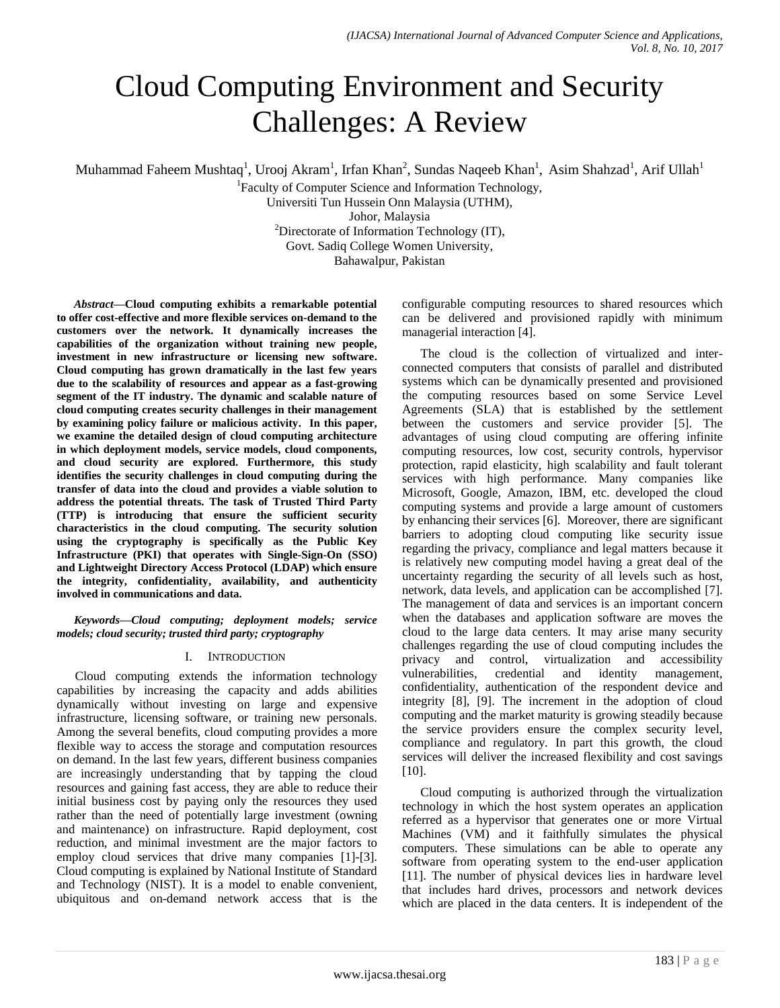# Cloud Computing Environment and Security Challenges: A Review

Muhammad Faheem Mushtaq<sup>1</sup>, Urooj Akram<sup>1</sup>, Irfan Khan<sup>2</sup>, Sundas Naqeeb Khan<sup>1</sup>, Asim Shahzad<sup>1</sup>, Arif Ullah<sup>1</sup>

<sup>1</sup>Faculty of Computer Science and Information Technology,

Universiti Tun Hussein Onn Malaysia (UTHM),

Johor, Malaysia

<sup>2</sup>Directorate of Information Technology  $(IT)$ ,

Govt. Sadiq College Women University,

Bahawalpur, Pakistan

*Abstract***—Cloud computing exhibits a remarkable potential to offer cost-effective and more flexible services on-demand to the customers over the network. It dynamically increases the capabilities of the organization without training new people, investment in new infrastructure or licensing new software. Cloud computing has grown dramatically in the last few years due to the scalability of resources and appear as a fast-growing segment of the IT industry. The dynamic and scalable nature of cloud computing creates security challenges in their management by examining policy failure or malicious activity. In this paper, we examine the detailed design of cloud computing architecture in which deployment models, service models, cloud components, and cloud security are explored. Furthermore, this study identifies the security challenges in cloud computing during the transfer of data into the cloud and provides a viable solution to address the potential threats. The task of Trusted Third Party (TTP) is introducing that ensure the sufficient security characteristics in the cloud computing. The security solution using the cryptography is specifically as the Public Key Infrastructure (PKI) that operates with Single-Sign-On (SSO) and Lightweight Directory Access Protocol (LDAP) which ensure the integrity, confidentiality, availability, and authenticity involved in communications and data.**

*Keywords—Cloud computing; deployment models; service models; cloud security; trusted third party; cryptography*

## I. INTRODUCTION

Cloud computing extends the information technology capabilities by increasing the capacity and adds abilities dynamically without investing on large and expensive infrastructure, licensing software, or training new personals. Among the several benefits, cloud computing provides a more flexible way to access the storage and computation resources on demand. In the last few years, different business companies are increasingly understanding that by tapping the cloud resources and gaining fast access, they are able to reduce their initial business cost by paying only the resources they used rather than the need of potentially large investment (owning and maintenance) on infrastructure. Rapid deployment, cost reduction, and minimal investment are the major factors to employ cloud services that drive many companies [1]-[3]. Cloud computing is explained by National Institute of Standard and Technology (NIST). It is a model to enable convenient, ubiquitous and on-demand network access that is the configurable computing resources to shared resources which can be delivered and provisioned rapidly with minimum managerial interaction [4].

The cloud is the collection of virtualized and interconnected computers that consists of parallel and distributed systems which can be dynamically presented and provisioned the computing resources based on some Service Level Agreements (SLA) that is established by the settlement between the customers and service provider [5]. The advantages of using cloud computing are offering infinite computing resources, low cost, security controls, hypervisor protection, rapid elasticity, high scalability and fault tolerant services with high performance. Many companies like Microsoft, Google, Amazon, IBM, etc. developed the cloud computing systems and provide a large amount of customers by enhancing their services [6]. Moreover, there are significant barriers to adopting cloud computing like security issue regarding the privacy, compliance and legal matters because it is relatively new computing model having a great deal of the uncertainty regarding the security of all levels such as host, network, data levels, and application can be accomplished [7]. The management of data and services is an important concern when the databases and application software are moves the cloud to the large data centers. It may arise many security challenges regarding the use of cloud computing includes the privacy and control, virtualization and accessibility vulnerabilities, credential and identity management, confidentiality, authentication of the respondent device and integrity [8], [9]. The increment in the adoption of cloud computing and the market maturity is growing steadily because the service providers ensure the complex security level, compliance and regulatory. In part this growth, the cloud services will deliver the increased flexibility and cost savings [10].

Cloud computing is authorized through the virtualization technology in which the host system operates an application referred as a hypervisor that generates one or more Virtual Machines (VM) and it faithfully simulates the physical computers. These simulations can be able to operate any software from operating system to the end-user application [11]. The number of physical devices lies in hardware level that includes hard drives, processors and network devices which are placed in the data centers. It is independent of the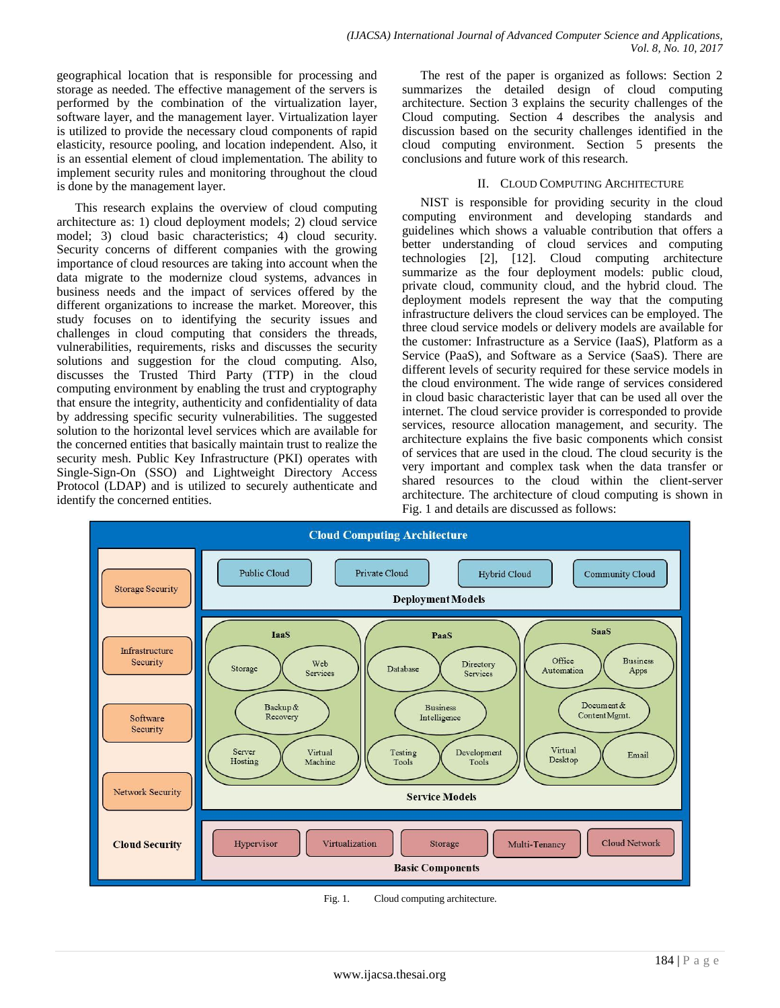geographical location that is responsible for processing and storage as needed. The effective management of the servers is performed by the combination of the virtualization layer, software layer, and the management layer. Virtualization layer is utilized to provide the necessary cloud components of rapid elasticity, resource pooling, and location independent. Also, it is an essential element of cloud implementation. The ability to implement security rules and monitoring throughout the cloud is done by the management layer.

This research explains the overview of cloud computing architecture as: 1) cloud deployment models; 2) cloud service model; 3) cloud basic characteristics; 4) cloud security. Security concerns of different companies with the growing importance of cloud resources are taking into account when the data migrate to the modernize cloud systems, advances in business needs and the impact of services offered by the different organizations to increase the market. Moreover, this study focuses on to identifying the security issues and challenges in cloud computing that considers the threads, vulnerabilities, requirements, risks and discusses the security solutions and suggestion for the cloud computing. Also, discusses the Trusted Third Party (TTP) in the cloud computing environment by enabling the trust and cryptography that ensure the integrity, authenticity and confidentiality of data by addressing specific security vulnerabilities. The suggested solution to the horizontal level services which are available for the concerned entities that basically maintain trust to realize the security mesh. Public Key Infrastructure (PKI) operates with Single-Sign-On (SSO) and Lightweight Directory Access Protocol (LDAP) and is utilized to securely authenticate and identify the concerned entities.

The rest of the paper is organized as follows: Section 2 summarizes the detailed design of cloud computing architecture. Section 3 explains the security challenges of the Cloud computing. Section 4 describes the analysis and discussion based on the security challenges identified in the cloud computing environment. Section 5 presents the conclusions and future work of this research.

### II. CLOUD COMPUTING ARCHITECTURE

NIST is responsible for providing security in the cloud computing environment and developing standards and guidelines which shows a valuable contribution that offers a better understanding of cloud services and computing technologies [2], [12]. Cloud computing architecture summarize as the four deployment models: public cloud, private cloud, community cloud, and the hybrid cloud. The deployment models represent the way that the computing infrastructure delivers the cloud services can be employed. The three cloud service models or delivery models are available for the customer: Infrastructure as a Service (IaaS), Platform as a Service (PaaS), and Software as a Service (SaaS). There are different levels of security required for these service models in the cloud environment. The wide range of services considered in cloud basic characteristic layer that can be used all over the internet. The cloud service provider is corresponded to provide services, resource allocation management, and security. The architecture explains the five basic components which consist of services that are used in the cloud. The cloud security is the very important and complex task when the data transfer or shared resources to the cloud within the client-server architecture. The architecture of cloud computing is shown in Fig. 1 and details are discussed as follows:



Fig. 1. Cloud computing architecture.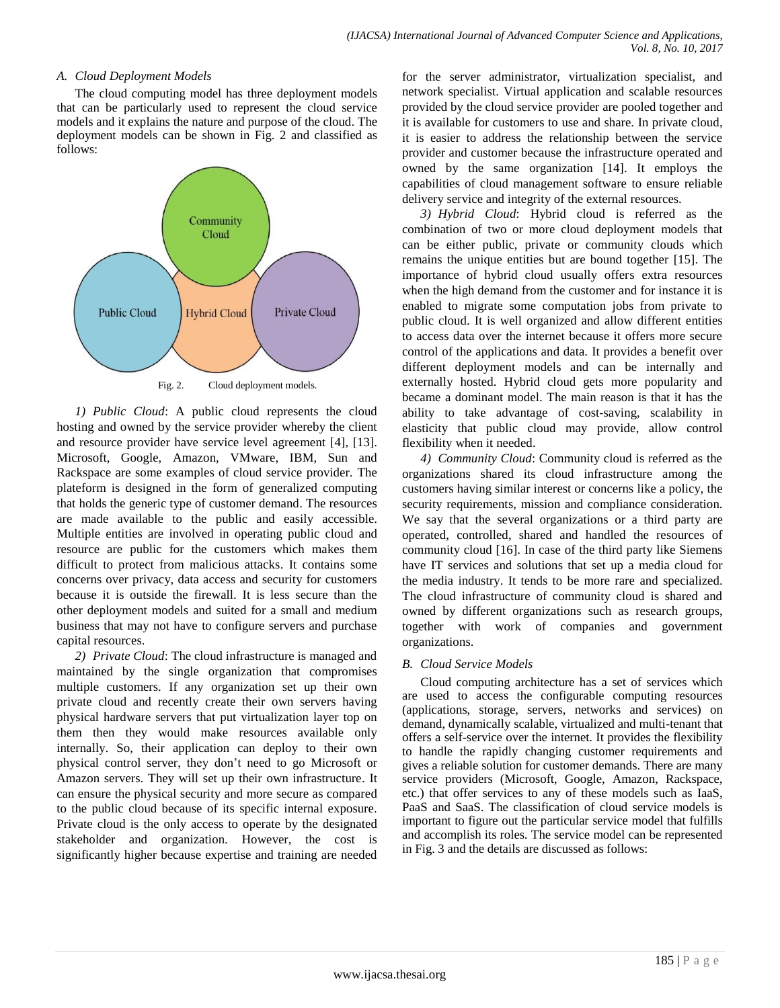### *A. Cloud Deployment Models*

The cloud computing model has three deployment models that can be particularly used to represent the cloud service models and it explains the nature and purpose of the cloud. The deployment models can be shown in Fig. 2 and classified as follows:



Fig. 2. Cloud deployment models.

*1) Public Cloud*: A public cloud represents the cloud hosting and owned by the service provider whereby the client and resource provider have service level agreement [4], [13]. Microsoft, Google, Amazon, VMware, IBM, Sun and Rackspace are some examples of cloud service provider. The plateform is designed in the form of generalized computing that holds the generic type of customer demand. The resources are made available to the public and easily accessible. Multiple entities are involved in operating public cloud and resource are public for the customers which makes them difficult to protect from malicious attacks. It contains some concerns over privacy, data access and security for customers because it is outside the firewall. It is less secure than the other deployment models and suited for a small and medium business that may not have to configure servers and purchase capital resources.

*2) Private Cloud*: The cloud infrastructure is managed and maintained by the single organization that compromises multiple customers. If any organization set up their own private cloud and recently create their own servers having physical hardware servers that put virtualization layer top on them then they would make resources available only internally. So, their application can deploy to their own physical control server, they don't need to go Microsoft or Amazon servers. They will set up their own infrastructure. It can ensure the physical security and more secure as compared to the public cloud because of its specific internal exposure. Private cloud is the only access to operate by the designated stakeholder and organization. However, the cost is significantly higher because expertise and training are needed for the server administrator, virtualization specialist, and network specialist. Virtual application and scalable resources provided by the cloud service provider are pooled together and it is available for customers to use and share. In private cloud, it is easier to address the relationship between the service provider and customer because the infrastructure operated and owned by the same organization [14]. It employs the capabilities of cloud management software to ensure reliable delivery service and integrity of the external resources.

*3) Hybrid Cloud*: Hybrid cloud is referred as the combination of two or more cloud deployment models that can be either public, private or community clouds which remains the unique entities but are bound together [15]. The importance of hybrid cloud usually offers extra resources when the high demand from the customer and for instance it is enabled to migrate some computation jobs from private to public cloud. It is well organized and allow different entities to access data over the internet because it offers more secure control of the applications and data. It provides a benefit over different deployment models and can be internally and externally hosted. Hybrid cloud gets more popularity and became a dominant model. The main reason is that it has the ability to take advantage of cost-saving, scalability in elasticity that public cloud may provide, allow control flexibility when it needed.

*4) Community Cloud*: Community cloud is referred as the organizations shared its cloud infrastructure among the customers having similar interest or concerns like a policy, the security requirements, mission and compliance consideration. We say that the several organizations or a third party are operated, controlled, shared and handled the resources of community cloud [16]. In case of the third party like Siemens have IT services and solutions that set up a media cloud for the media industry. It tends to be more rare and specialized. The cloud infrastructure of community cloud is shared and owned by different organizations such as research groups, together with work of companies and government organizations.

## *B. Cloud Service Models*

Cloud computing architecture has a set of services which are used to access the configurable computing resources (applications, storage, servers, networks and services) on demand, dynamically scalable, virtualized and multi-tenant that offers a self-service over the internet. It provides the flexibility to handle the rapidly changing customer requirements and gives a reliable solution for customer demands. There are many service providers (Microsoft, Google, Amazon, Rackspace, etc.) that offer services to any of these models such as IaaS, PaaS and SaaS. The classification of cloud service models is important to figure out the particular service model that fulfills and accomplish its roles. The service model can be represented in Fig. 3 and the details are discussed as follows: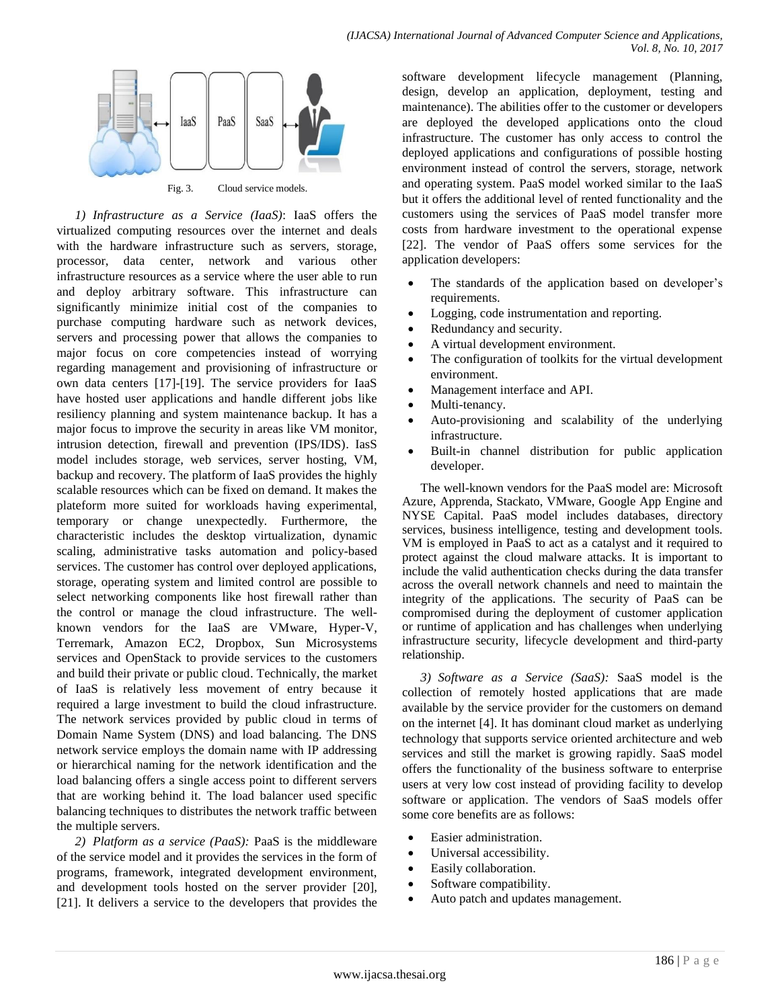

Fig. 3. Cloud service models.

*1) Infrastructure as a Service (IaaS)*: IaaS offers the virtualized computing resources over the internet and deals with the hardware infrastructure such as servers, storage, processor, data center, network and various other infrastructure resources as a service where the user able to run and deploy arbitrary software. This infrastructure can significantly minimize initial cost of the companies to purchase computing hardware such as network devices, servers and processing power that allows the companies to major focus on core competencies instead of worrying regarding management and provisioning of infrastructure or own data centers [17]-[19]. The service providers for IaaS have hosted user applications and handle different jobs like resiliency planning and system maintenance backup. It has a major focus to improve the security in areas like VM monitor, intrusion detection, firewall and prevention (IPS/IDS). IasS model includes storage, web services, server hosting, VM, backup and recovery. The platform of IaaS provides the highly scalable resources which can be fixed on demand. It makes the plateform more suited for workloads having experimental, temporary or change unexpectedly. Furthermore, the characteristic includes the desktop virtualization, dynamic scaling, administrative tasks automation and policy-based services. The customer has control over deployed applications, storage, operating system and limited control are possible to select networking components like host firewall rather than the control or manage the cloud infrastructure. The wellknown vendors for the IaaS are VMware, Hyper-V, Terremark, Amazon EC2, Dropbox, Sun Microsystems services and OpenStack to provide services to the customers and build their private or public cloud. Technically, the market of IaaS is relatively less movement of entry because it required a large investment to build the cloud infrastructure. The network services provided by public cloud in terms of Domain Name System (DNS) and load balancing. The DNS network service employs the domain name with IP addressing or hierarchical naming for the network identification and the load balancing offers a single access point to different servers that are working behind it. The load balancer used specific balancing techniques to distributes the network traffic between the multiple servers.

*2) Platform as a service (PaaS):* PaaS is the middleware of the service model and it provides the services in the form of programs, framework, integrated development environment, and development tools hosted on the server provider [20], [21]. It delivers a service to the developers that provides the software development lifecycle management (Planning, design, develop an application, deployment, testing and maintenance). The abilities offer to the customer or developers are deployed the developed applications onto the cloud infrastructure. The customer has only access to control the deployed applications and configurations of possible hosting environment instead of control the servers, storage, network and operating system. PaaS model worked similar to the IaaS but it offers the additional level of rented functionality and the customers using the services of PaaS model transfer more costs from hardware investment to the operational expense [22]. The vendor of PaaS offers some services for the application developers:

- The standards of the application based on developer's requirements.
- Logging, code instrumentation and reporting.
- Redundancy and security.
- A virtual development environment.
- The configuration of toolkits for the virtual development environment.
- Management interface and API.
- Multi-tenancy.
- Auto-provisioning and scalability of the underlying infrastructure.
- Built-in channel distribution for public application developer.

The well-known vendors for the PaaS model are: Microsoft Azure, Apprenda, Stackato, VMware, Google App Engine and NYSE Capital. PaaS model includes databases, directory services, business intelligence, testing and development tools. VM is employed in PaaS to act as a catalyst and it required to protect against the cloud malware attacks. It is important to include the valid authentication checks during the data transfer across the overall network channels and need to maintain the integrity of the applications. The security of PaaS can be compromised during the deployment of customer application or runtime of application and has challenges when underlying infrastructure security, lifecycle development and third-party relationship.

*3) Software as a Service (SaaS):* SaaS model is the collection of remotely hosted applications that are made available by the service provider for the customers on demand on the internet [4]. It has dominant cloud market as underlying technology that supports service oriented architecture and web services and still the market is growing rapidly. SaaS model offers the functionality of the business software to enterprise users at very low cost instead of providing facility to develop software or application. The vendors of SaaS models offer some core benefits are as follows:

- Easier administration.
- Universal accessibility.
- Easily collaboration.
- Software compatibility.
- Auto patch and updates management.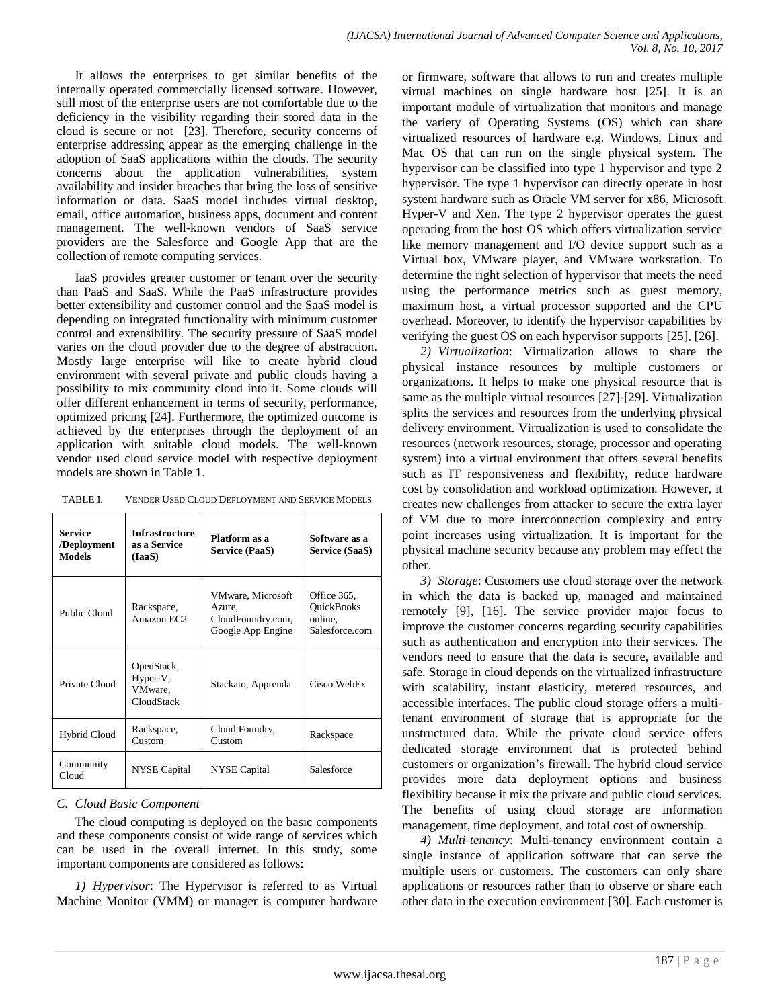It allows the enterprises to get similar benefits of the internally operated commercially licensed software. However, still most of the enterprise users are not comfortable due to the deficiency in the visibility regarding their stored data in the cloud is secure or not [23]. Therefore, security concerns of enterprise addressing appear as the emerging challenge in the adoption of SaaS applications within the clouds. The security concerns about the application vulnerabilities, system availability and insider breaches that bring the loss of sensitive information or data. SaaS model includes virtual desktop, email, office automation, business apps, document and content management. The well-known vendors of SaaS service providers are the Salesforce and Google App that are the collection of remote computing services.

IaaS provides greater customer or tenant over the security than PaaS and SaaS. While the PaaS infrastructure provides better extensibility and customer control and the SaaS model is depending on integrated functionality with minimum customer control and extensibility. The security pressure of SaaS model varies on the cloud provider due to the degree of abstraction. Mostly large enterprise will like to create hybrid cloud environment with several private and public clouds having a possibility to mix community cloud into it. Some clouds will offer different enhancement in terms of security, performance, optimized pricing [24]. Furthermore, the optimized outcome is achieved by the enterprises through the deployment of an application with suitable cloud models. The well-known vendor used cloud service model with respective deployment models are shown in Table 1.

| TABLE I. | VENDER USED CLOUD DEPLOYMENT AND SERVICE MODELS |
|----------|-------------------------------------------------|
|----------|-------------------------------------------------|

| Service<br>/Deployment<br><b>Models</b> | <b>Infrastructure</b><br>as a Service<br>(IaaS) | Platform as a<br><b>Service (PaaS)</b>                                | Software as a<br><b>Service (SaaS)</b>                 |
|-----------------------------------------|-------------------------------------------------|-----------------------------------------------------------------------|--------------------------------------------------------|
| Public Cloud                            | Rackspace,<br>Amazon EC2                        | VMware, Microsoft<br>Azure.<br>CloudFoundry.com,<br>Google App Engine | Office 365,<br>QuickBooks<br>online,<br>Salesforce.com |
| Private Cloud                           | OpenStack,<br>Hyper-V,<br>VMware.<br>CloudStack | Stackato, Apprenda                                                    | Cisco WebEx                                            |
| <b>Hybrid Cloud</b>                     | Rackspace,<br>Custom                            | Cloud Foundry,<br>Custom                                              | Rackspace                                              |
| Community<br>Cloud                      | NYSE Capital                                    | <b>NYSE</b> Capital                                                   | Salesforce                                             |

#### *C. Cloud Basic Component*

The cloud computing is deployed on the basic components and these components consist of wide range of services which can be used in the overall internet. In this study, some important components are considered as follows:

*1) Hypervisor*: The Hypervisor is referred to as Virtual Machine Monitor (VMM) or manager is computer hardware or firmware, software that allows to run and creates multiple virtual machines on single hardware host [25]. It is an important module of virtualization that monitors and manage the variety of Operating Systems (OS) which can share virtualized resources of hardware e.g. Windows, Linux and Mac OS that can run on the single physical system. The hypervisor can be classified into type 1 hypervisor and type 2 hypervisor. The type 1 hypervisor can directly operate in host system hardware such as Oracle VM server for x86, Microsoft Hyper-V and Xen. The type 2 hypervisor operates the guest operating from the host OS which offers virtualization service like memory management and I/O device support such as a Virtual box, VMware player, and VMware workstation. To determine the right selection of hypervisor that meets the need using the performance metrics such as guest memory, maximum host, a virtual processor supported and the CPU overhead. Moreover, to identify the hypervisor capabilities by verifying the guest OS on each hypervisor supports [25]*,* [26].

*2) Virtualization*: Virtualization allows to share the physical instance resources by multiple customers or organizations. It helps to make one physical resource that is same as the multiple virtual resources [27]-[29]. Virtualization splits the services and resources from the underlying physical delivery environment. Virtualization is used to consolidate the resources (network resources, storage, processor and operating system) into a virtual environment that offers several benefits such as IT responsiveness and flexibility, reduce hardware cost by consolidation and workload optimization. However, it creates new challenges from attacker to secure the extra layer of VM due to more interconnection complexity and entry point increases using virtualization. It is important for the physical machine security because any problem may effect the other.

*3) Storage*: Customers use cloud storage over the network in which the data is backed up, managed and maintained remotely [9], [16]. The service provider major focus to improve the customer concerns regarding security capabilities such as authentication and encryption into their services. The vendors need to ensure that the data is secure, available and safe. Storage in cloud depends on the virtualized infrastructure with scalability, instant elasticity, metered resources, and accessible interfaces. The public cloud storage offers a multitenant environment of storage that is appropriate for the unstructured data. While the private cloud service offers dedicated storage environment that is protected behind customers or organization's firewall. The hybrid cloud service provides more data deployment options and business flexibility because it mix the private and public cloud services. The benefits of using cloud storage are information management, time deployment, and total cost of ownership.

*4) Multi-tenancy*: Multi-tenancy environment contain a single instance of application software that can serve the multiple users or customers. The customers can only share applications or resources rather than to observe or share each other data in the execution environment [30]. Each customer is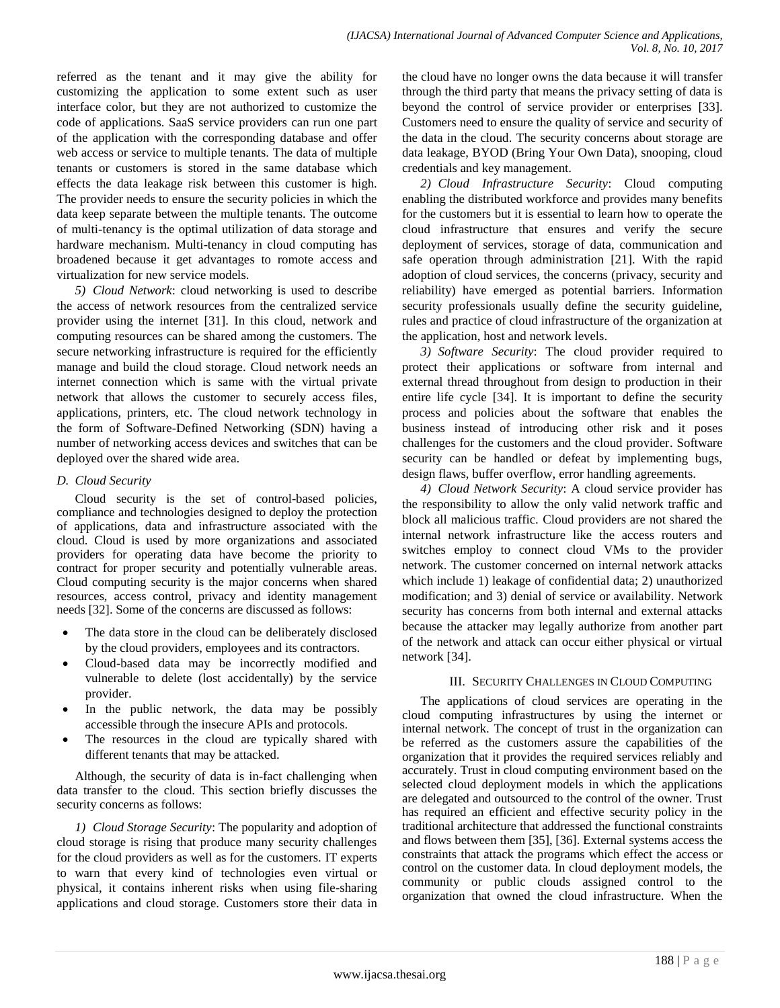referred as the tenant and it may give the ability for customizing the application to some extent such as user interface color, but they are not authorized to customize the code of applications. SaaS service providers can run one part of the application with the corresponding database and offer web access or service to multiple tenants. The data of multiple tenants or customers is stored in the same database which effects the data leakage risk between this customer is high. The provider needs to ensure the security policies in which the data keep separate between the multiple tenants. The outcome of multi-tenancy is the optimal utilization of data storage and hardware mechanism. Multi-tenancy in cloud computing has broadened because it get advantages to romote access and virtualization for new service models.

*5) Cloud Network*: cloud networking is used to describe the access of network resources from the centralized service provider using the internet [31]. In this cloud, network and computing resources can be shared among the customers. The secure networking infrastructure is required for the efficiently manage and build the cloud storage. Cloud network needs an internet connection which is same with the virtual private network that allows the customer to securely access files, applications, printers, etc. The cloud network technology in the form of Software-Defined Networking (SDN) having a number of networking access devices and switches that can be deployed over the shared wide area.

## *D. Cloud Security*

Cloud security is the set of control-based policies, compliance and technologies designed to deploy the protection of applications, data and infrastructure associated with the cloud. Cloud is used by more organizations and associated providers for operating data have become the priority to contract for proper security and potentially vulnerable areas. Cloud computing security is the major concerns when shared resources, access control, privacy and identity management needs [32]. Some of the concerns are discussed as follows:

- The data store in the cloud can be deliberately disclosed by the cloud providers, employees and its contractors.
- Cloud-based data may be incorrectly modified and vulnerable to delete (lost accidentally) by the service provider.
- In the public network, the data may be possibly accessible through the insecure APIs and protocols.
- The resources in the cloud are typically shared with different tenants that may be attacked.

Although, the security of data is in-fact challenging when data transfer to the cloud. This section briefly discusses the security concerns as follows:

*1) Cloud Storage Security*: The popularity and adoption of cloud storage is rising that produce many security challenges for the cloud providers as well as for the customers. IT experts to warn that every kind of technologies even virtual or physical, it contains inherent risks when using file-sharing applications and cloud storage. Customers store their data in the cloud have no longer owns the data because it will transfer through the third party that means the privacy setting of data is beyond the control of service provider or enterprises [33]. Customers need to ensure the quality of service and security of the data in the cloud. The security concerns about storage are data leakage, BYOD (Bring Your Own Data), snooping, cloud credentials and key management.

*2) Cloud Infrastructure Security*: Cloud computing enabling the distributed workforce and provides many benefits for the customers but it is essential to learn how to operate the cloud infrastructure that ensures and verify the secure deployment of services, storage of data, communication and safe operation through administration [21]. With the rapid adoption of cloud services, the concerns (privacy, security and reliability) have emerged as potential barriers. Information security professionals usually define the security guideline, rules and practice of cloud infrastructure of the organization at the application, host and network levels.

*3) Software Security*: The cloud provider required to protect their applications or software from internal and external thread throughout from design to production in their entire life cycle [34]. It is important to define the security process and policies about the software that enables the business instead of introducing other risk and it poses challenges for the customers and the cloud provider. Software security can be handled or defeat by implementing bugs, design flaws, buffer overflow, error handling agreements.

*4) Cloud Network Security*: A cloud service provider has the responsibility to allow the only valid network traffic and block all malicious traffic. Cloud providers are not shared the internal network infrastructure like the access routers and switches employ to connect cloud VMs to the provider network. The customer concerned on internal network attacks which include 1) leakage of confidential data; 2) unauthorized modification; and 3) denial of service or availability. Network security has concerns from both internal and external attacks because the attacker may legally authorize from another part of the network and attack can occur either physical or virtual network [34].

## III. SECURITY CHALLENGES IN CLOUD COMPUTING

The applications of cloud services are operating in the cloud computing infrastructures by using the internet or internal network. The concept of trust in the organization can be referred as the customers assure the capabilities of the organization that it provides the required services reliably and accurately. Trust in cloud computing environment based on the selected cloud deployment models in which the applications are delegated and outsourced to the control of the owner. Trust has required an efficient and effective security policy in the traditional architecture that addressed the functional constraints and flows between them [35], [36]. External systems access the constraints that attack the programs which effect the access or control on the customer data. In cloud deployment models, the community or public clouds assigned control to the organization that owned the cloud infrastructure. When the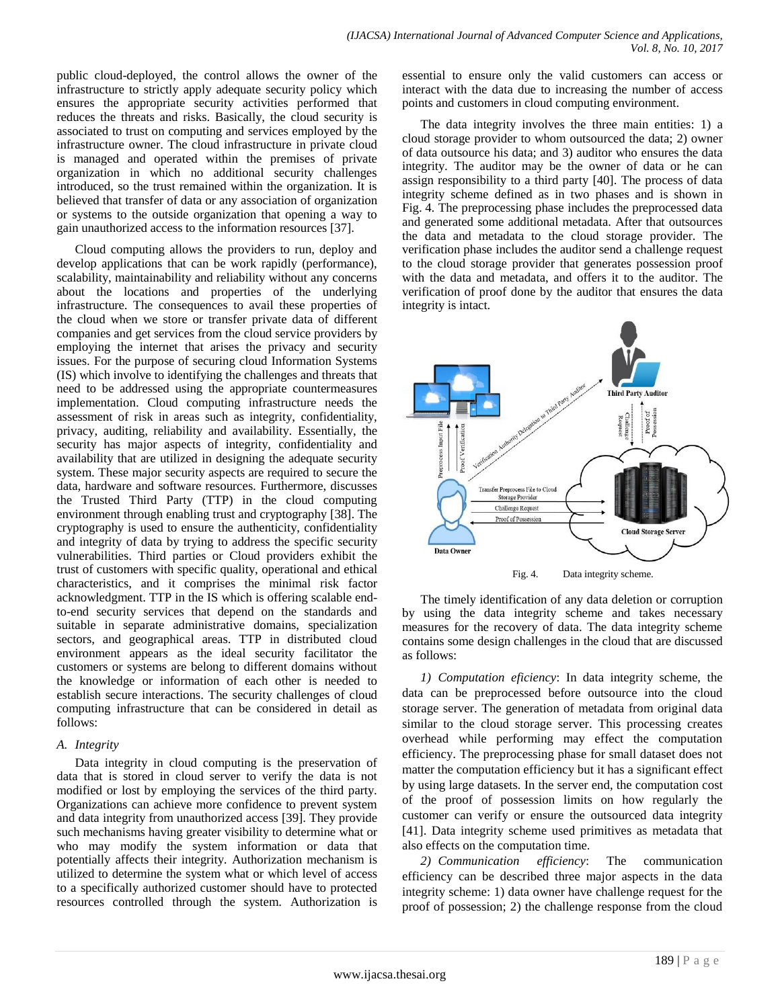public cloud-deployed, the control allows the owner of the infrastructure to strictly apply adequate security policy which ensures the appropriate security activities performed that reduces the threats and risks. Basically, the cloud security is associated to trust on computing and services employed by the infrastructure owner. The cloud infrastructure in private cloud is managed and operated within the premises of private organization in which no additional security challenges introduced, so the trust remained within the organization. It is believed that transfer of data or any association of organization or systems to the outside organization that opening a way to gain unauthorized access to the information resources [37].

Cloud computing allows the providers to run, deploy and develop applications that can be work rapidly (performance), scalability, maintainability and reliability without any concerns about the locations and properties of the underlying infrastructure. The consequences to avail these properties of the cloud when we store or transfer private data of different companies and get services from the cloud service providers by employing the internet that arises the privacy and security issues. For the purpose of securing cloud Information Systems (IS) which involve to identifying the challenges and threats that need to be addressed using the appropriate countermeasures implementation. Cloud computing infrastructure needs the assessment of risk in areas such as integrity, confidentiality, privacy, auditing, reliability and availability. Essentially, the security has major aspects of integrity, confidentiality and availability that are utilized in designing the adequate security system. These major security aspects are required to secure the data, hardware and software resources. Furthermore, discusses the Trusted Third Party (TTP) in the cloud computing environment through enabling trust and cryptography [38]. The cryptography is used to ensure the authenticity, confidentiality and integrity of data by trying to address the specific security vulnerabilities. Third parties or Cloud providers exhibit the trust of customers with specific quality, operational and ethical characteristics, and it comprises the minimal risk factor acknowledgment. TTP in the IS which is offering scalable endto-end security services that depend on the standards and suitable in separate administrative domains, specialization sectors, and geographical areas. TTP in distributed cloud environment appears as the ideal security facilitator the customers or systems are belong to different domains without the knowledge or information of each other is needed to establish secure interactions. The security challenges of cloud computing infrastructure that can be considered in detail as follows:

#### *A. Integrity*

Data integrity in cloud computing is the preservation of data that is stored in cloud server to verify the data is not modified or lost by employing the services of the third party. Organizations can achieve more confidence to prevent system and data integrity from unauthorized access [39]. They provide such mechanisms having greater visibility to determine what or who may modify the system information or data that potentially affects their integrity. Authorization mechanism is utilized to determine the system what or which level of access to a specifically authorized customer should have to protected resources controlled through the system. Authorization is essential to ensure only the valid customers can access or interact with the data due to increasing the number of access points and customers in cloud computing environment.

The data integrity involves the three main entities: 1) a cloud storage provider to whom outsourced the data; 2) owner of data outsource his data; and 3) auditor who ensures the data integrity. The auditor may be the owner of data or he can assign responsibility to a third party [40]. The process of data integrity scheme defined as in two phases and is shown in Fig. 4. The preprocessing phase includes the preprocessed data and generated some additional metadata. After that outsources the data and metadata to the cloud storage provider. The verification phase includes the auditor send a challenge request to the cloud storage provider that generates possession proof with the data and metadata, and offers it to the auditor. The verification of proof done by the auditor that ensures the data integrity is intact.



Fig. 4. Data integrity scheme.

The timely identification of any data deletion or corruption by using the data integrity scheme and takes necessary measures for the recovery of data. The data integrity scheme contains some design challenges in the cloud that are discussed as follows:

*1) Computation eficiency*: In data integrity scheme, the data can be preprocessed before outsource into the cloud storage server. The generation of metadata from original data similar to the cloud storage server. This processing creates overhead while performing may effect the computation efficiency. The preprocessing phase for small dataset does not matter the computation efficiency but it has a significant effect by using large datasets. In the server end, the computation cost of the proof of possession limits on how regularly the customer can verify or ensure the outsourced data integrity [41]. Data integrity scheme used primitives as metadata that also effects on the computation time.

*2) Communication efficiency*: The communication efficiency can be described three major aspects in the data integrity scheme: 1) data owner have challenge request for the proof of possession; 2) the challenge response from the cloud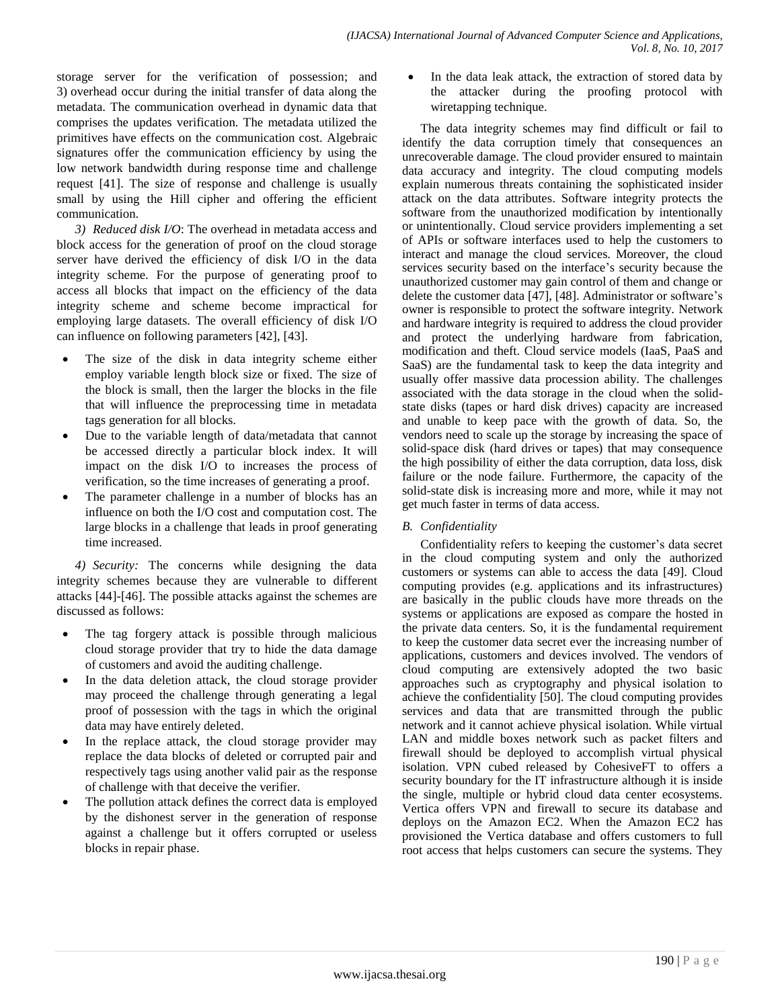storage server for the verification of possession; and 3) overhead occur during the initial transfer of data along the metadata. The communication overhead in dynamic data that comprises the updates verification. The metadata utilized the primitives have effects on the communication cost. Algebraic signatures offer the communication efficiency by using the low network bandwidth during response time and challenge request [41]. The size of response and challenge is usually small by using the Hill cipher and offering the efficient communication.

*3) Reduced disk I/O*: The overhead in metadata access and block access for the generation of proof on the cloud storage server have derived the efficiency of disk I/O in the data integrity scheme. For the purpose of generating proof to access all blocks that impact on the efficiency of the data integrity scheme and scheme become impractical for employing large datasets. The overall efficiency of disk I/O can influence on following parameters [42], [43].

- The size of the disk in data integrity scheme either employ variable length block size or fixed. The size of the block is small, then the larger the blocks in the file that will influence the preprocessing time in metadata tags generation for all blocks.
- Due to the variable length of data/metadata that cannot be accessed directly a particular block index. It will impact on the disk I/O to increases the process of verification, so the time increases of generating a proof.
- The parameter challenge in a number of blocks has an influence on both the I/O cost and computation cost. The large blocks in a challenge that leads in proof generating time increased.

*4) Security:* The concerns while designing the data integrity schemes because they are vulnerable to different attacks [44]*-*[46]. The possible attacks against the schemes are discussed as follows:

- The tag forgery attack is possible through malicious cloud storage provider that try to hide the data damage of customers and avoid the auditing challenge.
- In the data deletion attack, the cloud storage provider may proceed the challenge through generating a legal proof of possession with the tags in which the original data may have entirely deleted.
- In the replace attack, the cloud storage provider may replace the data blocks of deleted or corrupted pair and respectively tags using another valid pair as the response of challenge with that deceive the verifier.
- The pollution attack defines the correct data is employed by the dishonest server in the generation of response against a challenge but it offers corrupted or useless blocks in repair phase.

 In the data leak attack, the extraction of stored data by the attacker during the proofing protocol with wiretapping technique.

The data integrity schemes may find difficult or fail to identify the data corruption timely that consequences an unrecoverable damage. The cloud provider ensured to maintain data accuracy and integrity. The cloud computing models explain numerous threats containing the sophisticated insider attack on the data attributes. Software integrity protects the software from the unauthorized modification by intentionally or unintentionally. Cloud service providers implementing a set of APIs or software interfaces used to help the customers to interact and manage the cloud services. Moreover, the cloud services security based on the interface's security because the unauthorized customer may gain control of them and change or delete the customer data [47], [48]. Administrator or software's owner is responsible to protect the software integrity. Network and hardware integrity is required to address the cloud provider and protect the underlying hardware from fabrication, modification and theft. Cloud service models (IaaS, PaaS and SaaS) are the fundamental task to keep the data integrity and usually offer massive data procession ability. The challenges associated with the data storage in the cloud when the solidstate disks (tapes or hard disk drives) capacity are increased and unable to keep pace with the growth of data. So, the vendors need to scale up the storage by increasing the space of solid-space disk (hard drives or tapes) that may consequence the high possibility of either the data corruption, data loss, disk failure or the node failure. Furthermore, the capacity of the solid-state disk is increasing more and more, while it may not get much faster in terms of data access.

## *B. Confidentiality*

Confidentiality refers to keeping the customer's data secret in the cloud computing system and only the authorized customers or systems can able to access the data [49]. Cloud computing provides (e.g. applications and its infrastructures) are basically in the public clouds have more threads on the systems or applications are exposed as compare the hosted in the private data centers. So, it is the fundamental requirement to keep the customer data secret ever the increasing number of applications, customers and devices involved. The vendors of cloud computing are extensively adopted the two basic approaches such as cryptography and physical isolation to achieve the confidentiality [50]. The cloud computing provides services and data that are transmitted through the public network and it cannot achieve physical isolation. While virtual LAN and middle boxes network such as packet filters and firewall should be deployed to accomplish virtual physical isolation. VPN cubed released by CohesiveFT to offers a security boundary for the IT infrastructure although it is inside the single, multiple or hybrid cloud data center ecosystems. Vertica offers VPN and firewall to secure its database and deploys on the Amazon EC2. When the Amazon EC2 has provisioned the Vertica database and offers customers to full root access that helps customers can secure the systems. They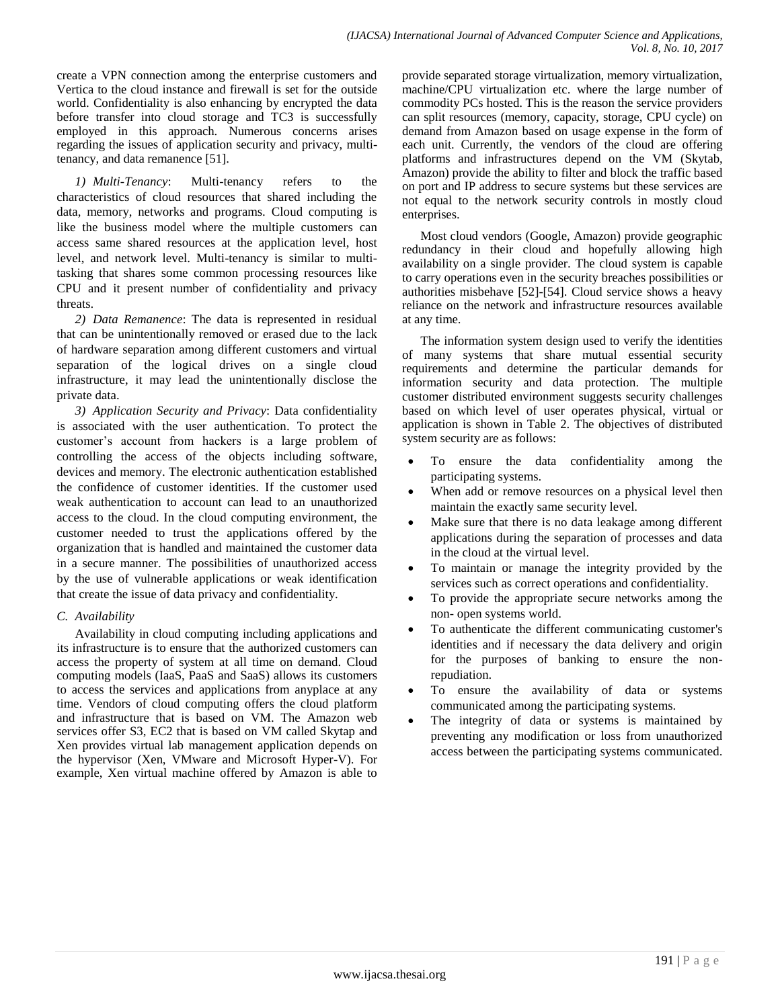create a VPN connection among the enterprise customers and Vertica to the cloud instance and firewall is set for the outside world. Confidentiality is also enhancing by encrypted the data before transfer into cloud storage and TC3 is successfully employed in this approach. Numerous concerns arises regarding the issues of application security and privacy, multitenancy, and data remanence [51].

*1) Multi-Tenancy*: Multi-tenancy refers to the characteristics of cloud resources that shared including the data, memory, networks and programs. Cloud computing is like the business model where the multiple customers can access same shared resources at the application level, host level, and network level. Multi-tenancy is similar to multitasking that shares some common processing resources like CPU and it present number of confidentiality and privacy threats.

*2) Data Remanence*: The data is represented in residual that can be unintentionally removed or erased due to the lack of hardware separation among different customers and virtual separation of the logical drives on a single cloud infrastructure, it may lead the unintentionally disclose the private data.

*3) Application Security and Privacy*: Data confidentiality is associated with the user authentication. To protect the customer's account from hackers is a large problem of controlling the access of the objects including software, devices and memory. The electronic authentication established the confidence of customer identities. If the customer used weak authentication to account can lead to an unauthorized access to the cloud. In the cloud computing environment, the customer needed to trust the applications offered by the organization that is handled and maintained the customer data in a secure manner. The possibilities of unauthorized access by the use of vulnerable applications or weak identification that create the issue of data privacy and confidentiality.

## *C. Availability*

Availability in cloud computing including applications and its infrastructure is to ensure that the authorized customers can access the property of system at all time on demand. Cloud computing models (IaaS, PaaS and SaaS) allows its customers to access the services and applications from anyplace at any time. Vendors of cloud computing offers the cloud platform and infrastructure that is based on VM. The Amazon web services offer S3, EC2 that is based on VM called Skytap and Xen provides virtual lab management application depends on the hypervisor (Xen, VMware and Microsoft Hyper-V). For example, Xen virtual machine offered by Amazon is able to

provide separated storage virtualization, memory virtualization, machine/CPU virtualization etc. where the large number of commodity PCs hosted. This is the reason the service providers can split resources (memory, capacity, storage, CPU cycle) on demand from Amazon based on usage expense in the form of each unit. Currently, the vendors of the cloud are offering platforms and infrastructures depend on the VM (Skytab, Amazon) provide the ability to filter and block the traffic based on port and IP address to secure systems but these services are not equal to the network security controls in mostly cloud enterprises.

Most cloud vendors (Google, Amazon) provide geographic redundancy in their cloud and hopefully allowing high availability on a single provider. The cloud system is capable to carry operations even in the security breaches possibilities or authorities misbehave [52]-[54]. Cloud service shows a heavy reliance on the network and infrastructure resources available at any time.

The information system design used to verify the identities of many systems that share mutual essential security requirements and determine the particular demands for information security and data protection. The multiple customer distributed environment suggests security challenges based on which level of user operates physical, virtual or application is shown in Table 2. The objectives of distributed system security are as follows:

- To ensure the data confidentiality among the participating systems.
- When add or remove resources on a physical level then maintain the exactly same security level.
- Make sure that there is no data leakage among different applications during the separation of processes and data in the cloud at the virtual level.
- To maintain or manage the integrity provided by the services such as correct operations and confidentiality.
- To provide the appropriate secure networks among the non- open systems world.
- To authenticate the different communicating customer's identities and if necessary the data delivery and origin for the purposes of banking to ensure the nonrepudiation.
- To ensure the availability of data or systems communicated among the participating systems.
- The integrity of data or systems is maintained by preventing any modification or loss from unauthorized access between the participating systems communicated.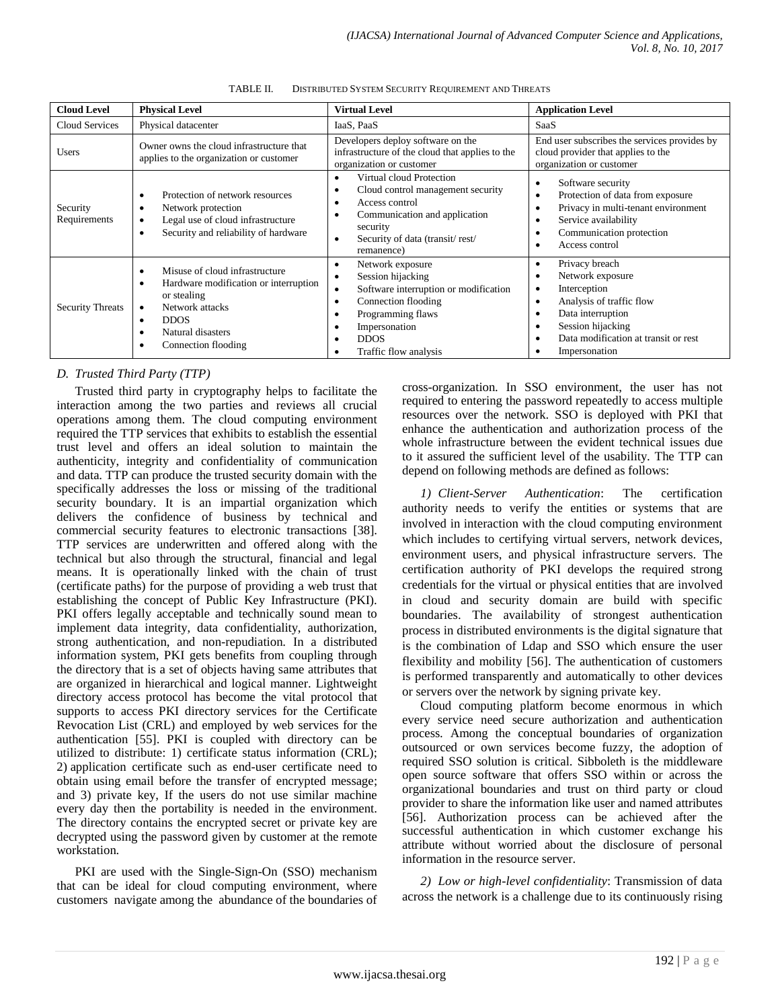| <b>Cloud Level</b>       | <b>Physical Level</b>                                                                                                                                                                                      | <b>Virtual Level</b>                                                                                                                                                                                                                           | <b>Application Level</b>                                                                                                                                                                            |
|--------------------------|------------------------------------------------------------------------------------------------------------------------------------------------------------------------------------------------------------|------------------------------------------------------------------------------------------------------------------------------------------------------------------------------------------------------------------------------------------------|-----------------------------------------------------------------------------------------------------------------------------------------------------------------------------------------------------|
| Cloud Services           | Physical datacenter                                                                                                                                                                                        | IaaS, PaaS                                                                                                                                                                                                                                     | SaaS                                                                                                                                                                                                |
| <b>Users</b>             | Owner owns the cloud infrastructure that<br>applies to the organization or customer                                                                                                                        | Developers deploy software on the<br>infrastructure of the cloud that applies to the<br>organization or customer                                                                                                                               | End user subscribes the services provides by<br>cloud provider that applies to the<br>organization or customer                                                                                      |
| Security<br>Requirements | Protection of network resources<br>٠<br>Network protection<br>٠<br>Legal use of cloud infrastructure<br>٠<br>Security and reliability of hardware<br>٠                                                     | Virtual cloud Protection<br>$\bullet$<br>Cloud control management security<br>$\bullet$<br>Access control<br>$\bullet$<br>Communication and application<br>$\bullet$<br>security<br>Security of data (transit/rest/<br>$\bullet$<br>remanence) | Software security<br>٠<br>Protection of data from exposure<br>٠<br>Privacy in multi-tenant environment<br>Service availability<br>Communication protection<br>Access control                        |
| <b>Security Threats</b>  | Misuse of cloud infrastructure<br>٠<br>Hardware modification or interruption<br>٠<br>or stealing<br>Network attacks<br>$\bullet$<br><b>DDOS</b><br>٠<br>Natural disasters<br>٠<br>Connection flooding<br>٠ | Network exposure<br>$\bullet$<br>Session hijacking<br>Software interruption or modification<br>$\bullet$<br>Connection flooding<br>$\bullet$<br>Programming flaws<br>Impersonation<br>٠<br><b>DDOS</b><br>٠<br>Traffic flow analysis           | Privacy breach<br>Network exposure<br>Interception<br>٠<br>Analysis of traffic flow<br>$\bullet$<br>Data interruption<br>Session hijacking<br>Data modification at transit or rest<br>Impersonation |

TABLE II. DISTRIBUTED SYSTEM SECURITY REQUIREMENT AND THREATS

#### *D. Trusted Third Party (TTP)*

Trusted third party in cryptography helps to facilitate the interaction among the two parties and reviews all crucial operations among them. The cloud computing environment required the TTP services that exhibits to establish the essential trust level and offers an ideal solution to maintain the authenticity, integrity and confidentiality of communication and data. TTP can produce the trusted security domain with the specifically addresses the loss or missing of the traditional security boundary. It is an impartial organization which delivers the confidence of business by technical and commercial security features to electronic transactions [38]. TTP services are underwritten and offered along with the technical but also through the structural, financial and legal means. It is operationally linked with the chain of trust (certificate paths) for the purpose of providing a web trust that establishing the concept of Public Key Infrastructure (PKI). PKI offers legally acceptable and technically sound mean to implement data integrity, data confidentiality, authorization, strong authentication, and non-repudiation. In a distributed information system, PKI gets benefits from coupling through the directory that is a set of objects having same attributes that are organized in hierarchical and logical manner. Lightweight directory access protocol has become the vital protocol that supports to access PKI directory services for the Certificate Revocation List (CRL) and employed by web services for the authentication [55]. PKI is coupled with directory can be utilized to distribute: 1) certificate status information (CRL); 2) application certificate such as end-user certificate need to obtain using email before the transfer of encrypted message; and 3) private key, If the users do not use similar machine every day then the portability is needed in the environment. The directory contains the encrypted secret or private key are decrypted using the password given by customer at the remote workstation.

PKI are used with the Single-Sign-On (SSO) mechanism that can be ideal for cloud computing environment, where customers navigate among the abundance of the boundaries of cross-organization. In SSO environment, the user has not required to entering the password repeatedly to access multiple resources over the network. SSO is deployed with PKI that enhance the authentication and authorization process of the whole infrastructure between the evident technical issues due to it assured the sufficient level of the usability. The TTP can depend on following methods are defined as follows:

*1) Client-Server Authentication*: The certification authority needs to verify the entities or systems that are involved in interaction with the cloud computing environment which includes to certifying virtual servers, network devices, environment users, and physical infrastructure servers. The certification authority of PKI develops the required strong credentials for the virtual or physical entities that are involved in cloud and security domain are build with specific boundaries. The availability of strongest authentication process in distributed environments is the digital signature that is the combination of Ldap and SSO which ensure the user flexibility and mobility [56]. The authentication of customers is performed transparently and automatically to other devices or servers over the network by signing private key.

Cloud computing platform become enormous in which every service need secure authorization and authentication process. Among the conceptual boundaries of organization outsourced or own services become fuzzy, the adoption of required SSO solution is critical. Sibboleth is the middleware open source software that offers SSO within or across the organizational boundaries and trust on third party or cloud provider to share the information like user and named attributes [56]. Authorization process can be achieved after the successful authentication in which customer exchange his attribute without worried about the disclosure of personal information in the resource server.

*2) Low or high-level confidentiality*: Transmission of data across the network is a challenge due to its continuously rising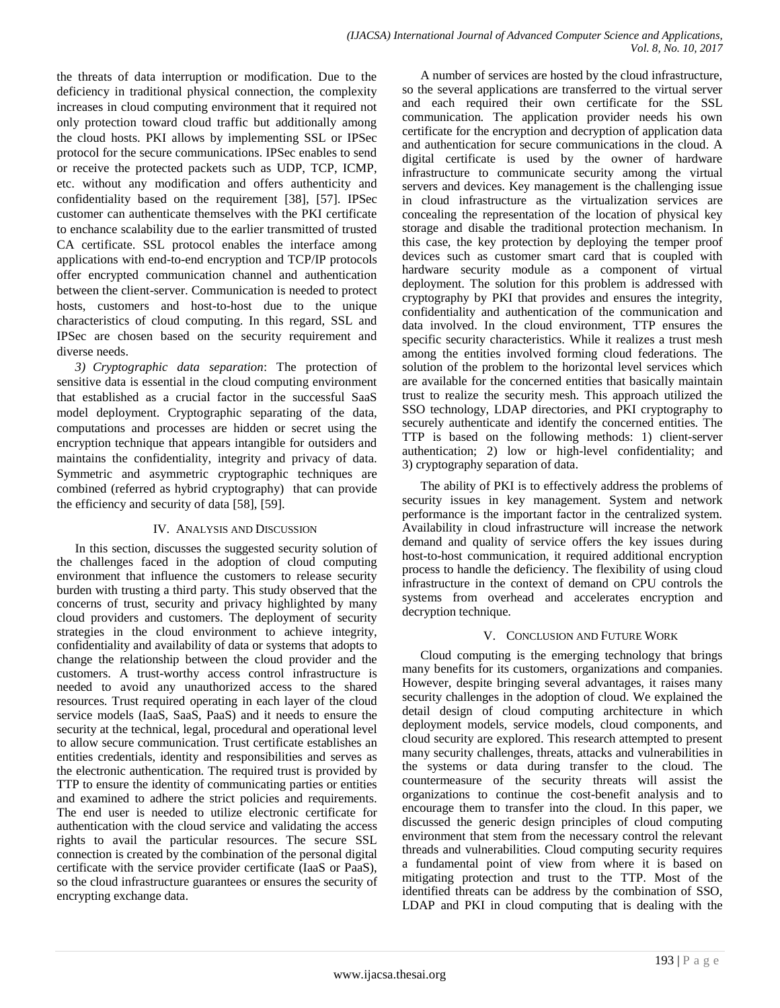the threats of data interruption or modification. Due to the deficiency in traditional physical connection, the complexity increases in cloud computing environment that it required not only protection toward cloud traffic but additionally among the cloud hosts. PKI allows by implementing SSL or IPSec protocol for the secure communications. IPSec enables to send or receive the protected packets such as UDP, TCP, ICMP, etc. without any modification and offers authenticity and confidentiality based on the requirement [38], [57]. IPSec customer can authenticate themselves with the PKI certificate to enchance scalability due to the earlier transmitted of trusted CA certificate. SSL protocol enables the interface among applications with end-to-end encryption and TCP/IP protocols offer encrypted communication channel and authentication between the client-server. Communication is needed to protect hosts, customers and host-to-host due to the unique characteristics of cloud computing. In this regard, SSL and IPSec are chosen based on the security requirement and diverse needs.

*3) Cryptographic data separation*: The protection of sensitive data is essential in the cloud computing environment that established as a crucial factor in the successful SaaS model deployment. Cryptographic separating of the data, computations and processes are hidden or secret using the encryption technique that appears intangible for outsiders and maintains the confidentiality, integrity and privacy of data. Symmetric and asymmetric cryptographic techniques are combined (referred as hybrid cryptography) that can provide the efficiency and security of data [58], [59].

## IV. ANALYSIS AND DISCUSSION

In this section, discusses the suggested security solution of the challenges faced in the adoption of cloud computing environment that influence the customers to release security burden with trusting a third party. This study observed that the concerns of trust, security and privacy highlighted by many cloud providers and customers. The deployment of security strategies in the cloud environment to achieve integrity, confidentiality and availability of data or systems that adopts to change the relationship between the cloud provider and the customers. A trust-worthy access control infrastructure is needed to avoid any unauthorized access to the shared resources. Trust required operating in each layer of the cloud service models (IaaS, SaaS, PaaS) and it needs to ensure the security at the technical, legal, procedural and operational level to allow secure communication. Trust certificate establishes an entities credentials, identity and responsibilities and serves as the electronic authentication. The required trust is provided by TTP to ensure the identity of communicating parties or entities and examined to adhere the strict policies and requirements. The end user is needed to utilize electronic certificate for authentication with the cloud service and validating the access rights to avail the particular resources. The secure SSL connection is created by the combination of the personal digital certificate with the service provider certificate (IaaS or PaaS), so the cloud infrastructure guarantees or ensures the security of encrypting exchange data.

A number of services are hosted by the cloud infrastructure, so the several applications are transferred to the virtual server and each required their own certificate for the SSL communication. The application provider needs his own certificate for the encryption and decryption of application data and authentication for secure communications in the cloud. A digital certificate is used by the owner of hardware infrastructure to communicate security among the virtual servers and devices. Key management is the challenging issue in cloud infrastructure as the virtualization services are concealing the representation of the location of physical key storage and disable the traditional protection mechanism. In this case, the key protection by deploying the temper proof devices such as customer smart card that is coupled with hardware security module as a component of virtual deployment. The solution for this problem is addressed with cryptography by PKI that provides and ensures the integrity, confidentiality and authentication of the communication and data involved. In the cloud environment, TTP ensures the specific security characteristics. While it realizes a trust mesh among the entities involved forming cloud federations. The solution of the problem to the horizontal level services which are available for the concerned entities that basically maintain trust to realize the security mesh. This approach utilized the SSO technology, LDAP directories, and PKI cryptography to securely authenticate and identify the concerned entities. The TTP is based on the following methods: 1) client-server authentication; 2) low or high-level confidentiality; and 3) cryptography separation of data.

The ability of PKI is to effectively address the problems of security issues in key management. System and network performance is the important factor in the centralized system. Availability in cloud infrastructure will increase the network demand and quality of service offers the key issues during host-to-host communication, it required additional encryption process to handle the deficiency. The flexibility of using cloud infrastructure in the context of demand on CPU controls the systems from overhead and accelerates encryption and decryption technique.

## V. CONCLUSION AND FUTURE WORK

Cloud computing is the emerging technology that brings many benefits for its customers, organizations and companies. However, despite bringing several advantages, it raises many security challenges in the adoption of cloud. We explained the detail design of cloud computing architecture in which deployment models, service models, cloud components, and cloud security are explored. This research attempted to present many security challenges, threats, attacks and vulnerabilities in the systems or data during transfer to the cloud. The countermeasure of the security threats will assist the organizations to continue the cost-benefit analysis and to encourage them to transfer into the cloud. In this paper, we discussed the generic design principles of cloud computing environment that stem from the necessary control the relevant threads and vulnerabilities. Cloud computing security requires a fundamental point of view from where it is based on mitigating protection and trust to the TTP. Most of the identified threats can be address by the combination of SSO, LDAP and PKI in cloud computing that is dealing with the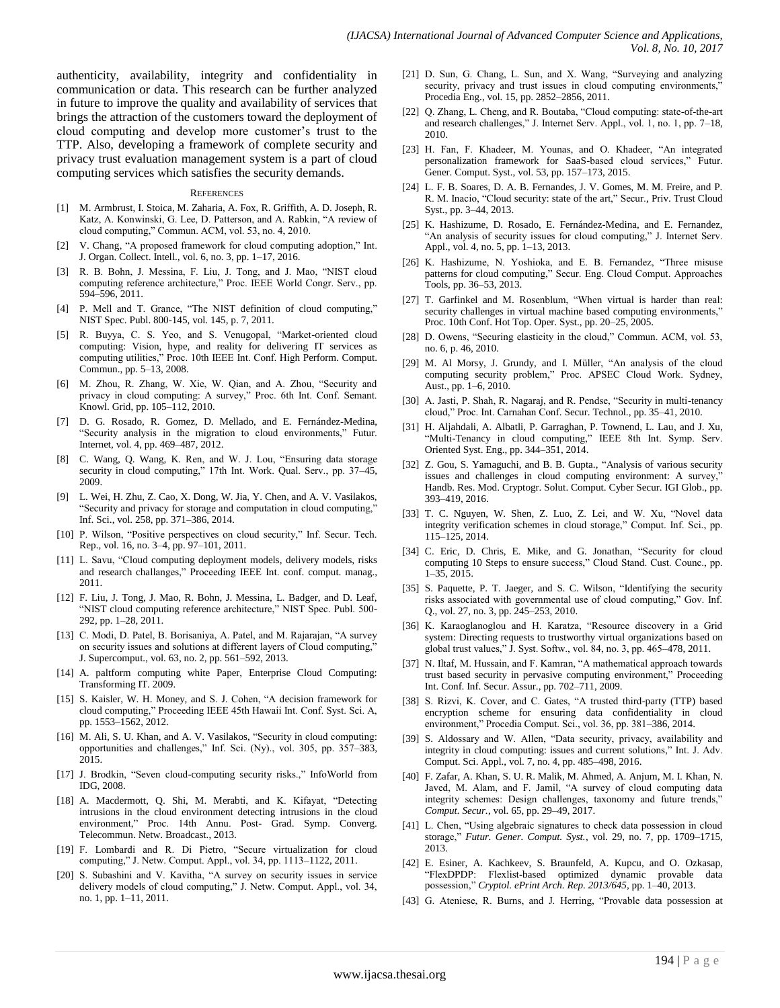authenticity, availability, integrity and confidentiality in communication or data. This research can be further analyzed in future to improve the quality and availability of services that brings the attraction of the customers toward the deployment of cloud computing and develop more customer's trust to the TTP. Also, developing a framework of complete security and privacy trust evaluation management system is a part of cloud computing services which satisfies the security demands.

#### **REFERENCES**

- [1] M. Armbrust, I. Stoica, M. Zaharia, A. Fox, R. Griffith, A. D. Joseph, R. Katz, A. Konwinski, G. Lee, D. Patterson, and A. Rabkin, "A review of cloud computing," Commun. ACM, vol. 53, no. 4, 2010.
- [2] V. Chang, "A proposed framework for cloud computing adoption," Int. J. Organ. Collect. Intell., vol. 6, no. 3, pp. 1–17, 2016.
- [3] R. B. Bohn, J. Messina, F. Liu, J. Tong, and J. Mao, "NIST cloud computing reference architecture," Proc. IEEE World Congr. Serv., pp. 594–596, 2011.
- [4] P. Mell and T. Grance, "The NIST definition of cloud computing," NIST Spec. Publ. 800-145, vol. 145, p. 7, 2011.
- [5] R. Buyya, C. S. Yeo, and S. Venugopal, "Market-oriented cloud computing: Vision, hype, and reality for delivering IT services as computing utilities," Proc. 10th IEEE Int. Conf. High Perform. Comput. Commun., pp. 5–13, 2008.
- [6] M. Zhou, R. Zhang, W. Xie, W. Qian, and A. Zhou, "Security and privacy in cloud computing: A survey," Proc. 6th Int. Conf. Semant. Knowl. Grid, pp. 105–112, 2010.
- [7] D. G. Rosado, R. Gomez, D. Mellado, and E. Fernández-Medina, "Security analysis in the migration to cloud environments," Futur. Internet, vol. 4, pp. 469–487, 2012.
- [8] C. Wang, Q. Wang, K. Ren, and W. J. Lou, "Ensuring data storage security in cloud computing," 17th Int. Work. Qual. Serv., pp. 37–45, 2009.
- [9] L. Wei, H. Zhu, Z. Cao, X. Dong, W. Jia, Y. Chen, and A. V. Vasilakos, "Security and privacy for storage and computation in cloud computing," Inf. Sci., vol. 258, pp. 371–386, 2014.
- [10] P. Wilson, "Positive perspectives on cloud security," Inf. Secur. Tech. Rep., vol. 16, no. 3–4, pp. 97–101, 2011.
- [11] L. Savu, "Cloud computing deployment models, delivery models, risks and research challanges," Proceeding IEEE Int. conf. comput. manag., 2011.
- [12] F. Liu, J. Tong, J. Mao, R. Bohn, J. Messina, L. Badger, and D. Leaf, "NIST cloud computing reference architecture," NIST Spec. Publ. 500- 292, pp. 1–28, 2011.
- [13] C. Modi, D. Patel, B. Borisaniya, A. Patel, and M. Rajarajan, "A survey on security issues and solutions at different layers of Cloud computing," J. Supercomput., vol. 63, no. 2, pp. 561–592, 2013.
- [14] A. paltform computing white Paper, Enterprise Cloud Computing: Transforming IT. 2009.
- [15] S. Kaisler, W. H. Money, and S. J. Cohen, "A decision framework for cloud computing," Proceeding IEEE 45th Hawaii Int. Conf. Syst. Sci. A, pp. 1553–1562, 2012.
- [16] M. Ali, S. U. Khan, and A. V. Vasilakos, "Security in cloud computing: opportunities and challenges," Inf. Sci. (Ny)., vol. 305, pp. 357–383, 2015.
- [17] J. Brodkin, "Seven cloud-computing security risks.," InfoWorld from IDG, 2008.
- [18] A. Macdermott, Q. Shi, M. Merabti, and K. Kifayat, "Detecting intrusions in the cloud environment detecting intrusions in the cloud environment," Proc. 14th Annu. Post- Grad. Symp. Converg. Telecommun. Netw. Broadcast., 2013.
- [19] F. Lombardi and R. Di Pietro, "Secure virtualization for cloud computing," J. Netw. Comput. Appl., vol. 34, pp. 1113–1122, 2011.
- [20] S. Subashini and V. Kavitha, "A survey on security issues in service delivery models of cloud computing," J. Netw. Comput. Appl., vol. 34, no. 1, pp. 1–11, 2011.
- [21] D. Sun, G. Chang, L. Sun, and X. Wang, "Surveying and analyzing security, privacy and trust issues in cloud computing environments,' Procedia Eng., vol. 15, pp. 2852–2856, 2011.
- [22] Q. Zhang, L. Cheng, and R. Boutaba, "Cloud computing: state-of-the-art and research challenges," J. Internet Serv. Appl., vol. 1, no. 1, pp. 7–18, 2010.
- [23] H. Fan, F. Khadeer, M. Younas, and O. Khadeer, "An integrated personalization framework for SaaS-based cloud services," Futur. Gener. Comput. Syst., vol. 53, pp. 157–173, 2015.
- [24] L. F. B. Soares, D. A. B. Fernandes, J. V. Gomes, M. M. Freire, and P. R. M. Inacio, "Cloud security: state of the art," Secur., Priv. Trust Cloud Syst., pp. 3–44, 2013.
- [25] K. Hashizume, D. Rosado, E. Fernández-Medina, and E. Fernandez, "An analysis of security issues for cloud computing," J. Internet Serv. Appl., vol. 4, no. 5, pp. 1–13, 2013.
- [26] K. Hashizume, N. Yoshioka, and E. B. Fernandez, "Three misuse patterns for cloud computing," Secur. Eng. Cloud Comput. Approaches Tools, pp. 36–53, 2013.
- [27] T. Garfinkel and M. Rosenblum, "When virtual is harder than real: security challenges in virtual machine based computing environments," Proc. 10th Conf. Hot Top. Oper. Syst., pp. 20–25, 2005.
- [28] D. Owens, "Securing elasticity in the cloud," Commun. ACM, vol. 53, no. 6, p. 46, 2010.
- [29] M. Al Morsy, J. Grundy, and I. Müller, "An analysis of the cloud computing security problem," Proc. APSEC Cloud Work. Sydney, Aust., pp. 1–6, 2010.
- [30] A. Jasti, P. Shah, R. Nagaraj, and R. Pendse, "Security in multi-tenancy cloud," Proc. Int. Carnahan Conf. Secur. Technol., pp. 35–41, 2010.
- [31] H. Aljahdali, A. Albatli, P. Garraghan, P. Townend, L. Lau, and J. Xu, "Multi-Tenancy in cloud computing," IEEE 8th Int. Symp. Serv. Oriented Syst. Eng., pp. 344–351, 2014.
- [32] Z. Gou, S. Yamaguchi, and B. B. Gupta., "Analysis of various security issues and challenges in cloud computing environment: A survey, Handb. Res. Mod. Cryptogr. Solut. Comput. Cyber Secur. IGI Glob., pp. 393–419, 2016.
- [33] T. C. Nguyen, W. Shen, Z. Luo, Z. Lei, and W. Xu, "Novel data integrity verification schemes in cloud storage," Comput. Inf. Sci., pp. 115–125, 2014.
- [34] C. Eric, D. Chris, E. Mike, and G. Jonathan, "Security for cloud computing 10 Steps to ensure success," Cloud Stand. Cust. Counc., pp. 1–35, 2015.
- [35] S. Paquette, P. T. Jaeger, and S. C. Wilson, "Identifying the security risks associated with governmental use of cloud computing," Gov. Inf. Q., vol. 27, no. 3, pp. 245–253, 2010.
- [36] K. Karaoglanoglou and H. Karatza, "Resource discovery in a Grid system: Directing requests to trustworthy virtual organizations based on global trust values," J. Syst. Softw., vol. 84, no. 3, pp. 465–478, 2011.
- [37] N. Iltaf, M. Hussain, and F. Kamran, "A mathematical approach towards trust based security in pervasive computing environment," Proceeding Int. Conf. Inf. Secur. Assur., pp. 702–711, 2009.
- [38] S. Rizvi, K. Cover, and C. Gates, "A trusted third-party (TTP) based encryption scheme for ensuring data confidentiality in cloud environment," Procedia Comput. Sci., vol. 36, pp. 381–386, 2014.
- [39] S. Aldossary and W. Allen, "Data security, privacy, availability and integrity in cloud computing: issues and current solutions," Int. J. Adv. Comput. Sci. Appl., vol. 7, no. 4, pp. 485–498, 2016.
- [40] F. Zafar, A. Khan, S. U. R. Malik, M. Ahmed, A. Anjum, M. I. Khan, N. Javed, M. Alam, and F. Jamil, "A survey of cloud computing data integrity schemes: Design challenges, taxonomy and future trends," *Comput. Secur.*, vol. 65, pp. 29–49, 2017.
- [41] L. Chen, "Using algebraic signatures to check data possession in cloud storage," *Futur. Gener. Comput. Syst.*, vol. 29, no. 7, pp. 1709–1715, 2013.
- [42] E. Esiner, A. Kachkeev, S. Braunfeld, A. Kupcu, and O. Ozkasap, "FlexDPDP: Flexlist-based optimized dynamic provable data possession," *Cryptol. ePrint Arch. Rep. 2013/645*, pp. 1–40, 2013.
- [43] G. Ateniese, R. Burns, and J. Herring, "Provable data possession at